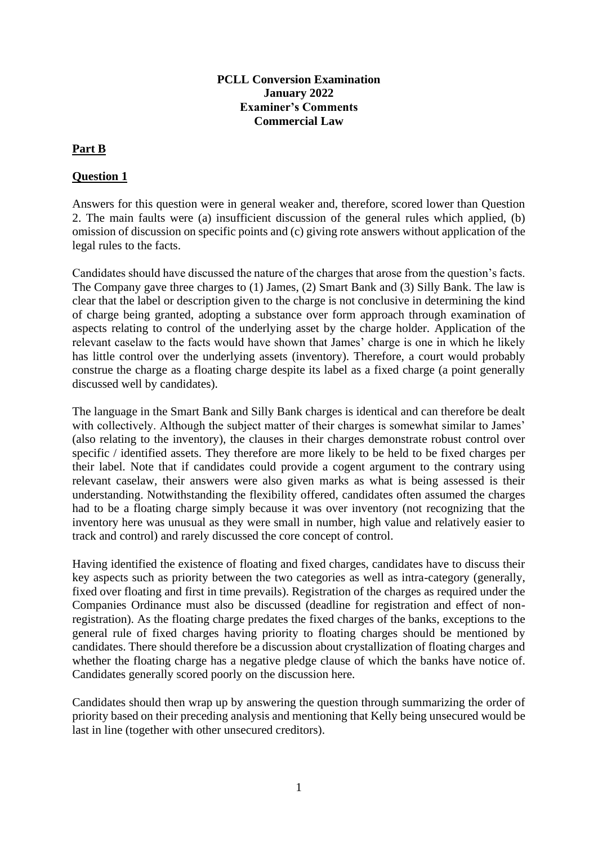#### **PCLL Conversion Examination January 2022 Examiner's Comments Commercial Law**

# **Part B**

#### **Question 1**

Answers for this question were in general weaker and, therefore, scored lower than Question 2. The main faults were (a) insufficient discussion of the general rules which applied, (b) omission of discussion on specific points and (c) giving rote answers without application of the legal rules to the facts.

Candidates should have discussed the nature of the charges that arose from the question's facts. The Company gave three charges to (1) James, (2) Smart Bank and (3) Silly Bank. The law is clear that the label or description given to the charge is not conclusive in determining the kind of charge being granted, adopting a substance over form approach through examination of aspects relating to control of the underlying asset by the charge holder. Application of the relevant caselaw to the facts would have shown that James' charge is one in which he likely has little control over the underlying assets (inventory). Therefore, a court would probably construe the charge as a floating charge despite its label as a fixed charge (a point generally discussed well by candidates).

The language in the Smart Bank and Silly Bank charges is identical and can therefore be dealt with collectively. Although the subject matter of their charges is somewhat similar to James' (also relating to the inventory), the clauses in their charges demonstrate robust control over specific / identified assets. They therefore are more likely to be held to be fixed charges per their label. Note that if candidates could provide a cogent argument to the contrary using relevant caselaw, their answers were also given marks as what is being assessed is their understanding. Notwithstanding the flexibility offered, candidates often assumed the charges had to be a floating charge simply because it was over inventory (not recognizing that the inventory here was unusual as they were small in number, high value and relatively easier to track and control) and rarely discussed the core concept of control.

Having identified the existence of floating and fixed charges, candidates have to discuss their key aspects such as priority between the two categories as well as intra-category (generally, fixed over floating and first in time prevails). Registration of the charges as required under the Companies Ordinance must also be discussed (deadline for registration and effect of nonregistration). As the floating charge predates the fixed charges of the banks, exceptions to the general rule of fixed charges having priority to floating charges should be mentioned by candidates. There should therefore be a discussion about crystallization of floating charges and whether the floating charge has a negative pledge clause of which the banks have notice of. Candidates generally scored poorly on the discussion here.

Candidates should then wrap up by answering the question through summarizing the order of priority based on their preceding analysis and mentioning that Kelly being unsecured would be last in line (together with other unsecured creditors).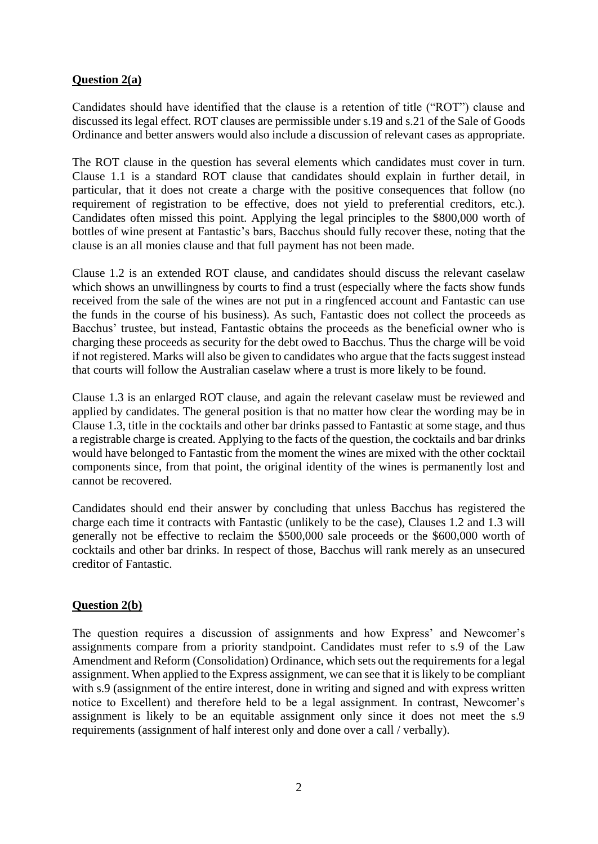# **Question 2(a)**

Candidates should have identified that the clause is a retention of title ("ROT") clause and discussed its legal effect. ROT clauses are permissible under s.19 and s.21 of the Sale of Goods Ordinance and better answers would also include a discussion of relevant cases as appropriate.

The ROT clause in the question has several elements which candidates must cover in turn. Clause 1.1 is a standard ROT clause that candidates should explain in further detail, in particular, that it does not create a charge with the positive consequences that follow (no requirement of registration to be effective, does not yield to preferential creditors, etc.). Candidates often missed this point. Applying the legal principles to the \$800,000 worth of bottles of wine present at Fantastic's bars, Bacchus should fully recover these, noting that the clause is an all monies clause and that full payment has not been made.

Clause 1.2 is an extended ROT clause, and candidates should discuss the relevant caselaw which shows an unwillingness by courts to find a trust (especially where the facts show funds received from the sale of the wines are not put in a ringfenced account and Fantastic can use the funds in the course of his business). As such, Fantastic does not collect the proceeds as Bacchus' trustee, but instead, Fantastic obtains the proceeds as the beneficial owner who is charging these proceeds as security for the debt owed to Bacchus. Thus the charge will be void if not registered. Marks will also be given to candidates who argue that the facts suggest instead that courts will follow the Australian caselaw where a trust is more likely to be found.

Clause 1.3 is an enlarged ROT clause, and again the relevant caselaw must be reviewed and applied by candidates. The general position is that no matter how clear the wording may be in Clause 1.3, title in the cocktails and other bar drinks passed to Fantastic at some stage, and thus a registrable charge is created. Applying to the facts of the question, the cocktails and bar drinks would have belonged to Fantastic from the moment the wines are mixed with the other cocktail components since, from that point, the original identity of the wines is permanently lost and cannot be recovered.

Candidates should end their answer by concluding that unless Bacchus has registered the charge each time it contracts with Fantastic (unlikely to be the case), Clauses 1.2 and 1.3 will generally not be effective to reclaim the \$500,000 sale proceeds or the \$600,000 worth of cocktails and other bar drinks. In respect of those, Bacchus will rank merely as an unsecured creditor of Fantastic.

# **Question 2(b)**

The question requires a discussion of assignments and how Express' and Newcomer's assignments compare from a priority standpoint. Candidates must refer to s.9 of the Law Amendment and Reform (Consolidation) Ordinance, which sets out the requirements for a legal assignment. When applied to the Express assignment, we can see that it is likely to be compliant with s.9 (assignment of the entire interest, done in writing and signed and with express written notice to Excellent) and therefore held to be a legal assignment. In contrast, Newcomer's assignment is likely to be an equitable assignment only since it does not meet the s.9 requirements (assignment of half interest only and done over a call / verbally).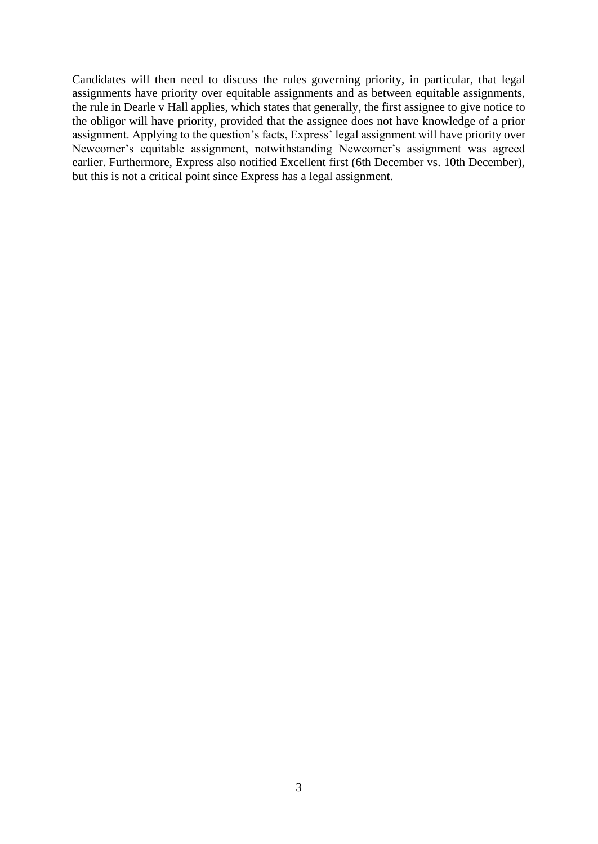Candidates will then need to discuss the rules governing priority, in particular, that legal assignments have priority over equitable assignments and as between equitable assignments, the rule in Dearle v Hall applies, which states that generally, the first assignee to give notice to the obligor will have priority, provided that the assignee does not have knowledge of a prior assignment. Applying to the question's facts, Express' legal assignment will have priority over Newcomer's equitable assignment, notwithstanding Newcomer's assignment was agreed earlier. Furthermore, Express also notified Excellent first (6th December vs. 10th December), but this is not a critical point since Express has a legal assignment.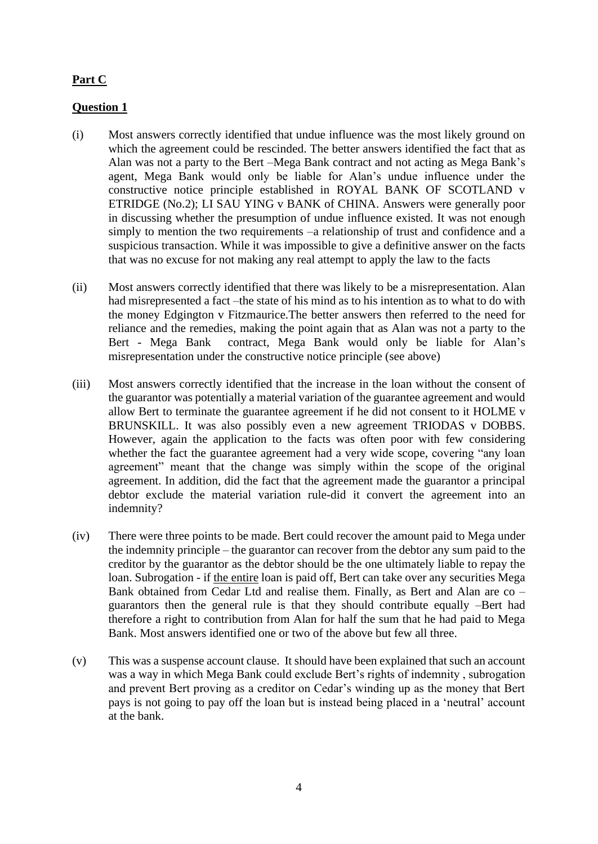# **Part C**

# **Question 1**

- (i) Most answers correctly identified that undue influence was the most likely ground on which the agreement could be rescinded. The better answers identified the fact that as Alan was not a party to the Bert –Mega Bank contract and not acting as Mega Bank's agent, Mega Bank would only be liable for Alan's undue influence under the constructive notice principle established in ROYAL BANK OF SCOTLAND v ETRIDGE (No.2); LI SAU YING v BANK of CHINA. Answers were generally poor in discussing whether the presumption of undue influence existed. It was not enough simply to mention the two requirements –a relationship of trust and confidence and a suspicious transaction. While it was impossible to give a definitive answer on the facts that was no excuse for not making any real attempt to apply the law to the facts
- (ii) Most answers correctly identified that there was likely to be a misrepresentation. Alan had misrepresented a fact –the state of his mind as to his intention as to what to do with the money Edgington v Fitzmaurice.The better answers then referred to the need for reliance and the remedies, making the point again that as Alan was not a party to the Bert - Mega Bank contract, Mega Bank would only be liable for Alan's misrepresentation under the constructive notice principle (see above)
- (iii) Most answers correctly identified that the increase in the loan without the consent of the guarantor was potentially a material variation of the guarantee agreement and would allow Bert to terminate the guarantee agreement if he did not consent to it HOLME v BRUNSKILL. It was also possibly even a new agreement TRIODAS v DOBBS. However, again the application to the facts was often poor with few considering whether the fact the guarantee agreement had a very wide scope, covering "any loan agreement" meant that the change was simply within the scope of the original agreement. In addition, did the fact that the agreement made the guarantor a principal debtor exclude the material variation rule-did it convert the agreement into an indemnity?
- (iv) There were three points to be made. Bert could recover the amount paid to Mega under the indemnity principle – the guarantor can recover from the debtor any sum paid to the creditor by the guarantor as the debtor should be the one ultimately liable to repay the loan. Subrogation - if the entire loan is paid off, Bert can take over any securities Mega Bank obtained from Cedar Ltd and realise them. Finally, as Bert and Alan are co – guarantors then the general rule is that they should contribute equally –Bert had therefore a right to contribution from Alan for half the sum that he had paid to Mega Bank. Most answers identified one or two of the above but few all three.
- (v) This was a suspense account clause. It should have been explained that such an account was a way in which Mega Bank could exclude Bert's rights of indemnity , subrogation and prevent Bert proving as a creditor on Cedar's winding up as the money that Bert pays is not going to pay off the loan but is instead being placed in a 'neutral' account at the bank.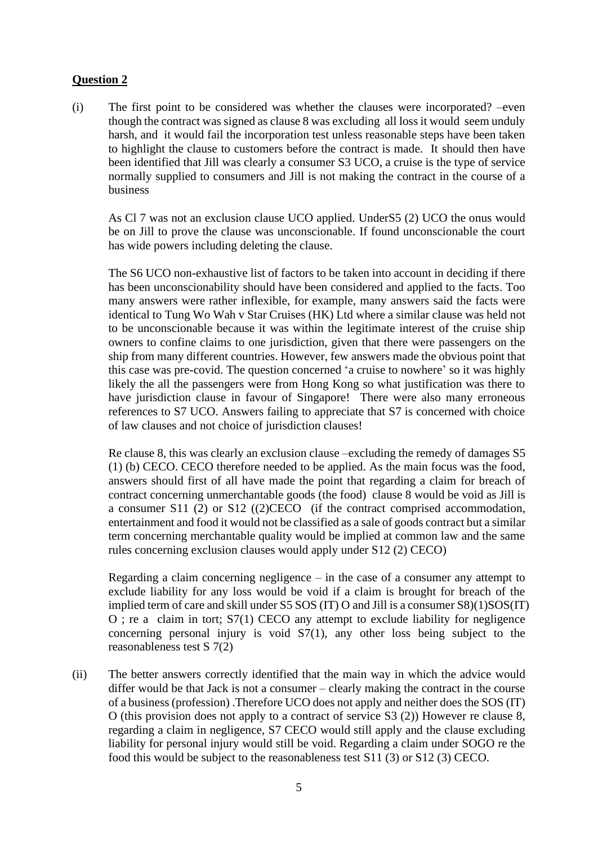# **Question 2**

(i) The first point to be considered was whether the clauses were incorporated? –even though the contract was signed as clause 8 was excluding all loss it would seem unduly harsh, and it would fail the incorporation test unless reasonable steps have been taken to highlight the clause to customers before the contract is made. It should then have been identified that Jill was clearly a consumer S3 UCO, a cruise is the type of service normally supplied to consumers and Jill is not making the contract in the course of a business

As Cl 7 was not an exclusion clause UCO applied. UnderS5 (2) UCO the onus would be on Jill to prove the clause was unconscionable. If found unconscionable the court has wide powers including deleting the clause.

The S6 UCO non-exhaustive list of factors to be taken into account in deciding if there has been unconscionability should have been considered and applied to the facts. Too many answers were rather inflexible, for example, many answers said the facts were identical to Tung Wo Wah v Star Cruises (HK) Ltd where a similar clause was held not to be unconscionable because it was within the legitimate interest of the cruise ship owners to confine claims to one jurisdiction, given that there were passengers on the ship from many different countries. However, few answers made the obvious point that this case was pre-covid. The question concerned 'a cruise to nowhere' so it was highly likely the all the passengers were from Hong Kong so what justification was there to have jurisdiction clause in favour of Singapore! There were also many erroneous references to S7 UCO. Answers failing to appreciate that S7 is concerned with choice of law clauses and not choice of jurisdiction clauses!

Re clause 8, this was clearly an exclusion clause –excluding the remedy of damages S5 (1) (b) CECO. CECO therefore needed to be applied. As the main focus was the food, answers should first of all have made the point that regarding a claim for breach of contract concerning unmerchantable goods (the food) clause 8 would be void as Jill is a consumer S11 (2) or S12 ((2)CECO (if the contract comprised accommodation, entertainment and food it would not be classified as a sale of goods contract but a similar term concerning merchantable quality would be implied at common law and the same rules concerning exclusion clauses would apply under S12 (2) CECO)

Regarding a claim concerning negligence – in the case of a consumer any attempt to exclude liability for any loss would be void if a claim is brought for breach of the implied term of care and skill under S5 SOS (IT) O and Jill is a consumer S8)(1)SOS(IT) O ; re a claim in tort; S7(1) CECO any attempt to exclude liability for negligence concerning personal injury is void S7(1), any other loss being subject to the reasonableness test S 7(2)

(ii) The better answers correctly identified that the main way in which the advice would differ would be that Jack is not a consumer – clearly making the contract in the course of a business (profession) .Therefore UCO does not apply and neither does the SOS (IT) O (this provision does not apply to a contract of service S3 (2)) However re clause 8, regarding a claim in negligence, S7 CECO would still apply and the clause excluding liability for personal injury would still be void. Regarding a claim under SOGO re the food this would be subject to the reasonableness test S11 (3) or S12 (3) CECO.